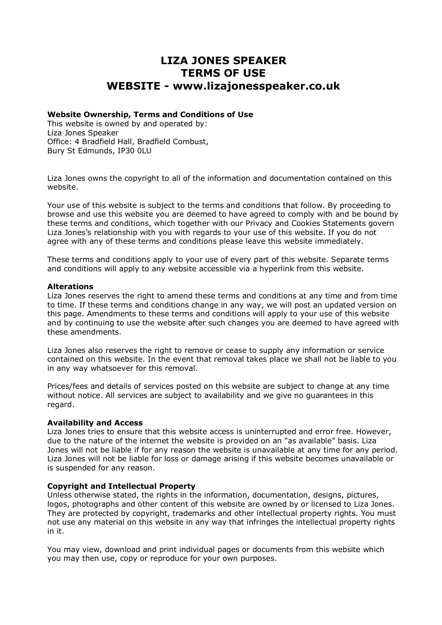# **LIZA JONES SPEAKER TERMS OF USE WEBSITE - www.lizajonesspeaker.co.uk**

#### **Website Ownership, Terms and Conditions of Use**

This website is owned by and operated by: Liza Jones Speaker Office: 4 Bradfield Hall, Bradfield Combust, Bury St Edmunds, IP30 0LU

Liza Jones owns the copyright to all of the information and documentation contained on this website.

Your use of this website is subject to the terms and conditions that follow. By proceeding to browse and use this website you are deemed to have agreed to comply with and be bound by these terms and conditions, which together with our Privacy and Cookies Statements govern Liza Jones's relationship with you with regards to your use of this website. If you do not agree with any of these terms and conditions please leave this website immediately.

These terms and conditions apply to your use of every part of this website. Separate terms and conditions will apply to any website accessible via a hyperlink from this website.

#### **Alterations**

Liza Jones reserves the right to amend these terms and conditions at any time and from time to time. If these terms and conditions change in any way, we will post an updated version on this page. Amendments to these terms and conditions will apply to your use of this website and by continuing to use the website after such changes you are deemed to have agreed with these amendments.

Liza Jones also reserves the right to remove or cease to supply any information or service contained on this website. In the event that removal takes place we shall not be liable to you in any way whatsoever for this removal.

Prices/fees and details of services posted on this website are subject to change at any time without notice. All services are subject to availability and we give no guarantees in this regard.

#### **Availability and Access**

Liza Jones tries to ensure that this website access is uninterrupted and error free. However, due to the nature of the internet the website is provided on an "as available" basis. Liza Jones will not be liable if for any reason the website is unavailable at any time for any period. Liza Jones will not be liable for loss or damage arising if this website becomes unavailable or is suspended for any reason.

#### **Copyright and Intellectual Property**

Unless otherwise stated, the rights in the information, documentation, designs, pictures, logos, photographs and other content of this website are owned by or licensed to Liza Jones. They are protected by copyright, trademarks and other intellectual property rights. You must not use any material on this website in any way that infringes the intellectual property rights in it.

You may view, download and print individual pages or documents from this website which you may then use, copy or reproduce for your own purposes.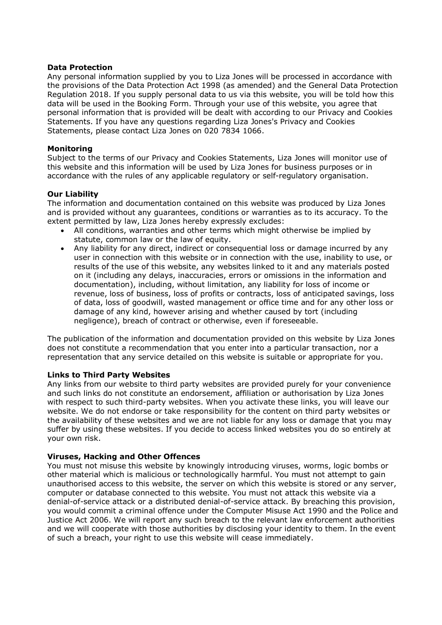#### **Data Protection**

Any personal information supplied by you to Liza Jones will be processed in accordance with the provisions of the Data Protection Act 1998 (as amended) and the General Data Protection Regulation 2018. If you supply personal data to us via this website, you will be told how this data will be used in the Booking Form. Through your use of this website, you agree that personal information that is provided will be dealt with according to our Privacy and Cookies Statements. If you have any questions regarding Liza Jones's Privacy and Cookies Statements, please contact Liza Jones on 020 7834 1066.

# **Monitoring**

Subject to the terms of our Privacy and Cookies Statements, Liza Jones will monitor use of this website and this information will be used by Liza Jones for business purposes or in accordance with the rules of any applicable regulatory or self-regulatory organisation.

### **Our Liability**

The information and documentation contained on this website was produced by Liza Jones and is provided without any guarantees, conditions or warranties as to its accuracy. To the extent permitted by law, Liza Jones hereby expressly excludes:

- All conditions, warranties and other terms which might otherwise be implied by statute, common law or the law of equity.
- Any liability for any direct, indirect or consequential loss or damage incurred by any user in connection with this website or in connection with the use, inability to use, or results of the use of this website, any websites linked to it and any materials posted on it (including any delays, inaccuracies, errors or omissions in the information and documentation), including, without limitation, any liability for loss of income or revenue, loss of business, loss of profits or contracts, loss of anticipated savings, loss of data, loss of goodwill, wasted management or office time and for any other loss or damage of any kind, however arising and whether caused by tort (including negligence), breach of contract or otherwise, even if foreseeable.

The publication of the information and documentation provided on this website by Liza Jones does not constitute a recommendation that you enter into a particular transaction, nor a representation that any service detailed on this website is suitable or appropriate for you.

#### **Links to Third Party Websites**

Any links from our website to third party websites are provided purely for your convenience and such links do not constitute an endorsement, affiliation or authorisation by Liza Jones with respect to such third-party websites. When you activate these links, you will leave our website. We do not endorse or take responsibility for the content on third party websites or the availability of these websites and we are not liable for any loss or damage that you may suffer by using these websites. If you decide to access linked websites you do so entirely at your own risk.

#### **Viruses, Hacking and Other Offences**

You must not misuse this website by knowingly introducing viruses, worms, logic bombs or other material which is malicious or technologically harmful. You must not attempt to gain unauthorised access to this website, the server on which this website is stored or any server, computer or database connected to this website. You must not attack this website via a denial-of-service attack or a distributed denial-of-service attack. By breaching this provision, you would commit a criminal offence under the Computer Misuse Act 1990 and the Police and Justice Act 2006. We will report any such breach to the relevant law enforcement authorities and we will cooperate with those authorities by disclosing your identity to them. In the event of such a breach, your right to use this website will cease immediately.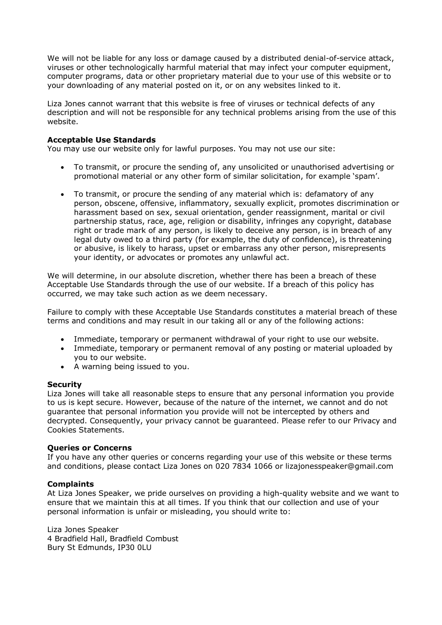We will not be liable for any loss or damage caused by a distributed denial-of-service attack, viruses or other technologically harmful material that may infect your computer equipment, computer programs, data or other proprietary material due to your use of this website or to your downloading of any material posted on it, or on any websites linked to it.

Liza Jones cannot warrant that this website is free of viruses or technical defects of any description and will not be responsible for any technical problems arising from the use of this website.

# **Acceptable Use Standards**

You may use our website only for lawful purposes. You may not use our site:

- To transmit, or procure the sending of, any unsolicited or unauthorised advertising or promotional material or any other form of similar solicitation, for example 'spam'.
- To transmit, or procure the sending of any material which is: defamatory of any person, obscene, offensive, inflammatory, sexually explicit, promotes discrimination or harassment based on sex, sexual orientation, gender reassignment, marital or civil partnership status, race, age, religion or disability, infringes any copyright, database right or trade mark of any person, is likely to deceive any person, is in breach of any legal duty owed to a third party (for example, the duty of confidence), is threatening or abusive, is likely to harass, upset or embarrass any other person, misrepresents your identity, or advocates or promotes any unlawful act.

We will determine, in our absolute discretion, whether there has been a breach of these Acceptable Use Standards through the use of our website. If a breach of this policy has occurred, we may take such action as we deem necessary.

Failure to comply with these Acceptable Use Standards constitutes a material breach of these terms and conditions and may result in our taking all or any of the following actions:

- Immediate, temporary or permanent withdrawal of your right to use our website.
- Immediate, temporary or permanent removal of any posting or material uploaded by you to our website.
- A warning being issued to you.

#### **Security**

Liza Jones will take all reasonable steps to ensure that any personal information you provide to us is kept secure. However, because of the nature of the internet, we cannot and do not guarantee that personal information you provide will not be intercepted by others and decrypted. Consequently, your privacy cannot be guaranteed. Please refer to our Privacy and Cookies Statements.

#### **Queries or Concerns**

If you have any other queries or concerns regarding your use of this website or these terms and conditions, please contact Liza Jones on 020 7834 1066 or lizajonesspeaker@gmail.com

#### **Complaints**

At Liza Jones Speaker, we pride ourselves on providing a high-quality website and we want to ensure that we maintain this at all times. If you think that our collection and use of your personal information is unfair or misleading, you should write to:

Liza Jones Speaker 4 Bradfield Hall, Bradfield Combust Bury St Edmunds, IP30 0LU